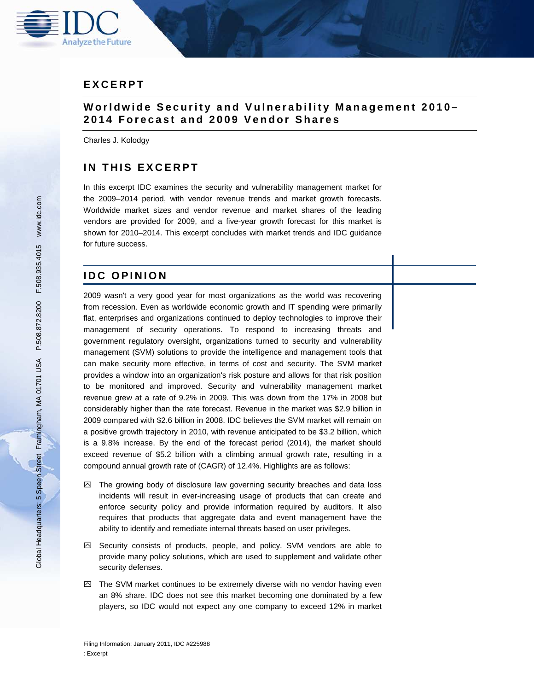

# **E X C E R P T**

## **W o r l d w i d e S e c u r i t y a n d V u l n e r a b i l i t y M a n a g e m e n t 2 0 1 0 – 2014 Forecast and 2009 Vendor Shares**

Charles J. Kolodgy

# **IN THIS EXCERPT**

In this excerpt IDC examines the security and vulnerability management market for the 2009–2014 period, with vendor revenue trends and market growth forecasts. Worldwide market sizes and vendor revenue and market shares of the leading vendors are provided for 2009, and a five-year growth forecast for this market is shown for 2010–2014. This excerpt concludes with market trends and IDC guidance for future success.

## **IDC OPINION**

2009 wasn't a very good year for most organizations as the world was recovering from recession. Even as worldwide economic growth and IT spending were primarily flat, enterprises and organizations continued to deploy technologies to improve their management of security operations. To respond to increasing threats and government regulatory oversight, organizations turned to security and vulnerability management (SVM) solutions to provide the intelligence and management tools that can make security more effective, in terms of cost and security. The SVM market provides a window into an organization's risk posture and allows for that risk position to be monitored and improved. Security and vulnerability management market revenue grew at a rate of 9.2% in 2009. This was down from the 17% in 2008 but considerably higher than the rate forecast. Revenue in the market was \$2.9 billion in 2009 compared with \$2.6 billion in 2008. IDC believes the SVM market will remain on a positive growth trajectory in 2010, with revenue anticipated to be \$3.2 billion, which is a 9.8% increase. By the end of the forecast period (2014), the market should exceed revenue of \$5.2 billion with a climbing annual growth rate, resulting in a compound annual growth rate of (CAGR) of 12.4%. Highlights are as follows:

- $\boxtimes$  The growing body of disclosure law governing security breaches and data loss incidents will result in ever-increasing usage of products that can create and enforce security policy and provide information required by auditors. It also requires that products that aggregate data and event management have the ability to identify and remediate internal threats based on user privileges.
- $\boxtimes$  Security consists of products, people, and policy. SVM vendors are able to provide many policy solutions, which are used to supplement and validate other security defenses.
- $\boxtimes$  The SVM market continues to be extremely diverse with no vendor having even an 8% share. IDC does not see this market becoming one dominated by a few players, so IDC would not expect any one company to exceed 12% in market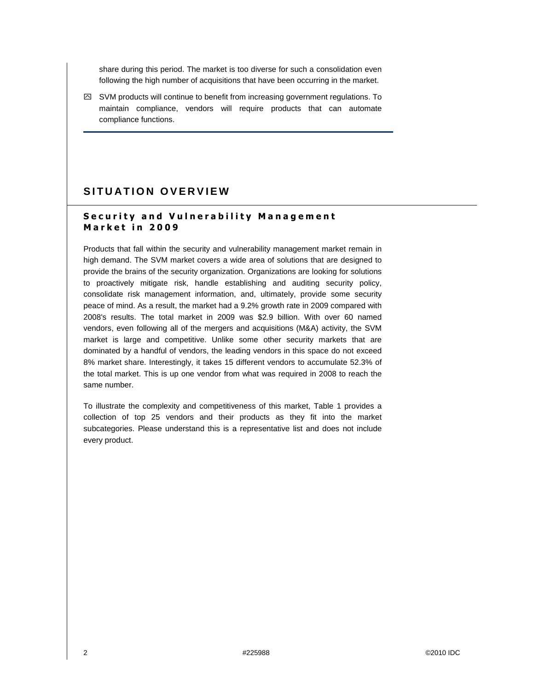share during this period. The market is too diverse for such a consolidation even following the high number of acquisitions that have been occurring in the market.

 $\boxtimes$  SVM products will continue to benefit from increasing government regulations. To maintain compliance, vendors will require products that can automate compliance functions.

## SITUATION OVERVIEW

#### **Security and Vulnerability Management M a r k e t i n 2 0 0 9**

Products that fall within the security and vulnerability management market remain in high demand. The SVM market covers a wide area of solutions that are designed to provide the brains of the security organization. Organizations are looking for solutions to proactively mitigate risk, handle establishing and auditing security policy, consolidate risk management information, and, ultimately, provide some security peace of mind. As a result, the market had a 9.2% growth rate in 2009 compared with 2008's results. The total market in 2009 was \$2.9 billion. With over 60 named vendors, even following all of the mergers and acquisitions (M&A) activity, the SVM market is large and competitive. Unlike some other security markets that are dominated by a handful of vendors, the leading vendors in this space do not exceed 8% market share. Interestingly, it takes 15 different vendors to accumulate 52.3% of the total market. This is up one vendor from what was required in 2008 to reach the same number.

To illustrate the complexity and competitiveness of this market, Table 1 provides a collection of top 25 vendors and their products as they fit into the market subcategories. Please understand this is a representative list and does not include every product.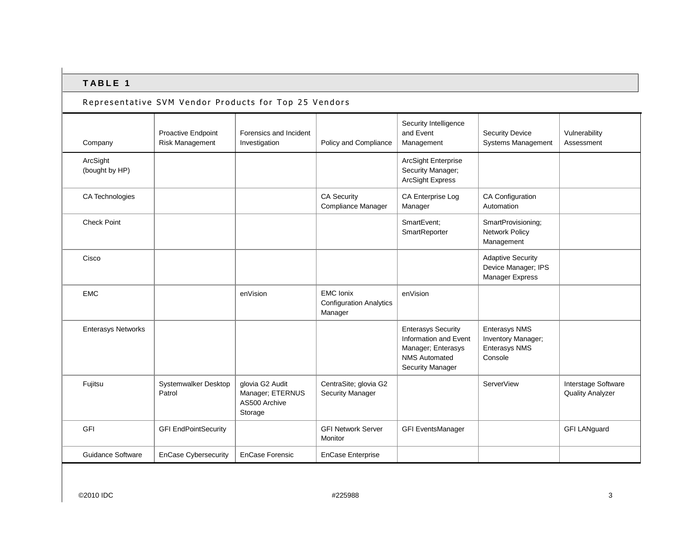### Representative SVM Vendor Products for Top 25 Vendors

| Company                    | Proactive Endpoint<br>Risk Management | Forensics and Incident<br>Investigation                         | Policy and Compliance                                         | Security Intelligence<br>and Event<br>Management                                                                            | <b>Security Device</b><br><b>Systems Management</b>                           | Vulnerability<br>Assessment                    |
|----------------------------|---------------------------------------|-----------------------------------------------------------------|---------------------------------------------------------------|-----------------------------------------------------------------------------------------------------------------------------|-------------------------------------------------------------------------------|------------------------------------------------|
| ArcSight<br>(bought by HP) |                                       |                                                                 |                                                               | <b>ArcSight Enterprise</b><br>Security Manager;<br><b>ArcSight Express</b>                                                  |                                                                               |                                                |
| CA Technologies            |                                       |                                                                 | <b>CA Security</b><br>Compliance Manager                      | CA Enterprise Log<br>Manager                                                                                                | <b>CA Configuration</b><br>Automation                                         |                                                |
| <b>Check Point</b>         |                                       |                                                                 |                                                               | SmartEvent;<br>SmartReporter                                                                                                | SmartProvisioning;<br>Network Policy<br>Management                            |                                                |
| Cisco                      |                                       |                                                                 |                                                               |                                                                                                                             | <b>Adaptive Security</b><br>Device Manager; IPS<br>Manager Express            |                                                |
| <b>EMC</b>                 |                                       | enVision                                                        | <b>EMC</b> Ionix<br><b>Configuration Analytics</b><br>Manager | enVision                                                                                                                    |                                                                               |                                                |
| <b>Enterasys Networks</b>  |                                       |                                                                 |                                                               | <b>Enterasys Security</b><br>Information and Event<br>Manager; Enterasys<br><b>NMS Automated</b><br><b>Security Manager</b> | <b>Enterasys NMS</b><br>Inventory Manager;<br><b>Enterasys NMS</b><br>Console |                                                |
| Fujitsu                    | Systemwalker Desktop<br>Patrol        | glovia G2 Audit<br>Manager; ETERNUS<br>AS500 Archive<br>Storage | CentraSite; glovia G2<br><b>Security Manager</b>              |                                                                                                                             | ServerView                                                                    | Interstage Software<br><b>Quality Analyzer</b> |
| GFI                        | <b>GFI EndPointSecurity</b>           |                                                                 | <b>GFI Network Server</b><br>Monitor                          | <b>GFI EventsManager</b>                                                                                                    |                                                                               | <b>GFI LANguard</b>                            |
| <b>Guidance Software</b>   | EnCase Cybersecurity                  | <b>EnCase Forensic</b>                                          | <b>EnCase Enterprise</b>                                      |                                                                                                                             |                                                                               |                                                |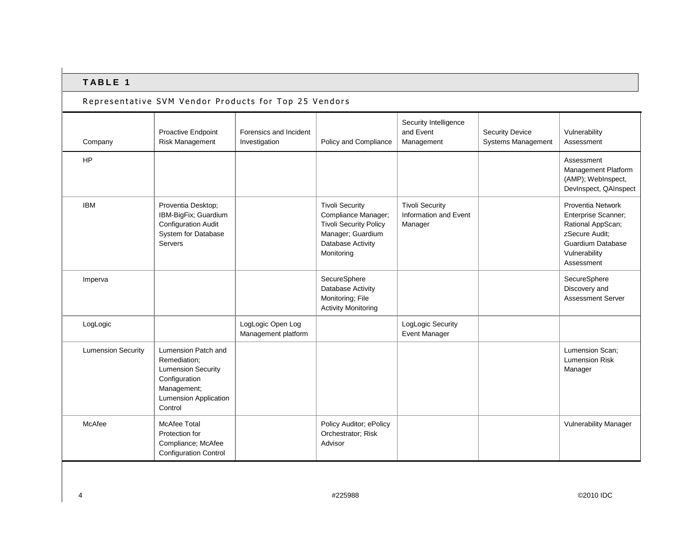| Representative SVM Vendor Products for Top 25 Vendors |                                                                                                                                             |                                          |                                                                                                                                        |                                                            |                                              |                                                                                                                                            |  |
|-------------------------------------------------------|---------------------------------------------------------------------------------------------------------------------------------------------|------------------------------------------|----------------------------------------------------------------------------------------------------------------------------------------|------------------------------------------------------------|----------------------------------------------|--------------------------------------------------------------------------------------------------------------------------------------------|--|
| Company                                               | Proactive Endpoint<br>Risk Management                                                                                                       | Forensics and Incident<br>Investigation  | Policy and Compliance                                                                                                                  | Security Intelligence<br>and Event<br>Management           | <b>Security Device</b><br>Systems Management | Vulnerability<br>Assessment                                                                                                                |  |
| <b>HP</b>                                             |                                                                                                                                             |                                          |                                                                                                                                        |                                                            |                                              | Assessment<br>Management Platform<br>(AMP); WebInspect,<br>DevInspect, QAInspect                                                           |  |
| <b>IBM</b>                                            | Proventia Desktop;<br>IBM-BigFix; Guardium<br><b>Configuration Audit</b><br>System for Database<br>Servers                                  |                                          | <b>Tivoli Security</b><br>Compliance Manager;<br><b>Tivoli Security Policy</b><br>Manager; Guardium<br>Database Activity<br>Monitoring | <b>Tivoli Security</b><br>Information and Event<br>Manager |                                              | Proventia Network<br>Enterprise Scanner;<br>Rational AppScan;<br>zSecure Audit:<br><b>Guardium Database</b><br>Vulnerability<br>Assessment |  |
| Imperva                                               |                                                                                                                                             |                                          | SecureSphere<br>Database Activity<br>Monitoring; File<br><b>Activity Monitoring</b>                                                    |                                                            |                                              | SecureSphere<br>Discovery and<br><b>Assessment Server</b>                                                                                  |  |
| LogLogic                                              |                                                                                                                                             | LogLogic Open Log<br>Management platform |                                                                                                                                        | LogLogic Security<br><b>Event Manager</b>                  |                                              |                                                                                                                                            |  |
| <b>Lumension Security</b>                             | Lumension Patch and<br>Remediation;<br><b>Lumension Security</b><br>Configuration<br>Management;<br><b>Lumension Application</b><br>Control |                                          |                                                                                                                                        |                                                            |                                              | Lumension Scan;<br><b>Lumension Risk</b><br>Manager                                                                                        |  |
| McAfee                                                | <b>McAfee Total</b><br>Protection for<br>Compliance; McAfee<br><b>Configuration Control</b>                                                 |                                          | Policy Auditor; ePolicy<br>Orchestrator; Risk<br>Advisor                                                                               |                                                            |                                              | <b>Vulnerability Manager</b>                                                                                                               |  |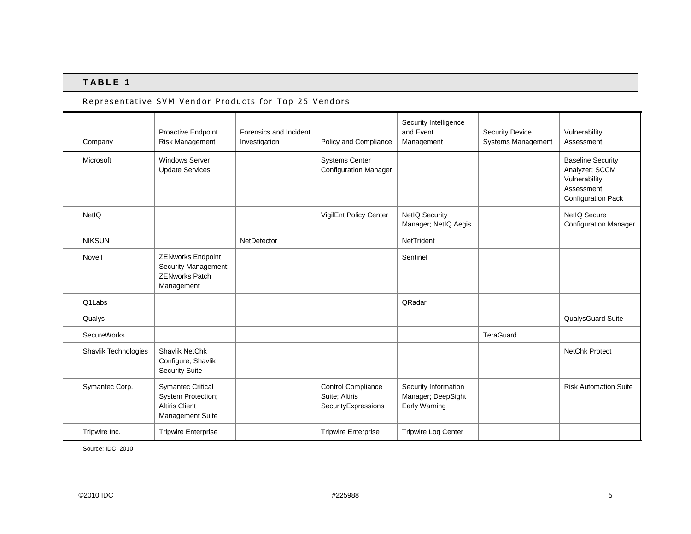#### Representative SVM Vendor Products for Top 25 Vendors

|                      | Proactive Endpoint                                                                          | Forensics and Incident |                                                                    | Security Intelligence<br>and Event                          | <b>Security Device</b>    | Vulnerability                                                                                          |
|----------------------|---------------------------------------------------------------------------------------------|------------------------|--------------------------------------------------------------------|-------------------------------------------------------------|---------------------------|--------------------------------------------------------------------------------------------------------|
| Company              | <b>Risk Management</b>                                                                      | Investigation          | Policy and Compliance                                              | Management                                                  | <b>Systems Management</b> | Assessment                                                                                             |
| Microsoft            | <b>Windows Server</b><br><b>Update Services</b>                                             |                        | <b>Systems Center</b><br><b>Configuration Manager</b>              |                                                             |                           | <b>Baseline Security</b><br>Analyzer; SCCM<br>Vulnerability<br>Assessment<br><b>Configuration Pack</b> |
| NetIO                |                                                                                             |                        | VigilEnt Policy Center                                             | <b>NetIQ Security</b><br>Manager; NetIQ Aegis               |                           | NetIO Secure<br><b>Configuration Manager</b>                                                           |
| <b>NIKSUN</b>        |                                                                                             | NetDetector            |                                                                    | NetTrident                                                  |                           |                                                                                                        |
| Novell               | <b>ZENworks Endpoint</b><br>Security Management;<br><b>ZENworks Patch</b><br>Management     |                        |                                                                    | Sentinel                                                    |                           |                                                                                                        |
| Q1Labs               |                                                                                             |                        |                                                                    | QRadar                                                      |                           |                                                                                                        |
| Qualys               |                                                                                             |                        |                                                                    |                                                             |                           | QualysGuard Suite                                                                                      |
| <b>SecureWorks</b>   |                                                                                             |                        |                                                                    |                                                             | TeraGuard                 |                                                                                                        |
| Shavlik Technologies | <b>Shavlik NetChk</b><br>Configure, Shavlik<br><b>Security Suite</b>                        |                        |                                                                    |                                                             |                           | <b>NetChk Protect</b>                                                                                  |
| Symantec Corp.       | <b>Symantec Critical</b><br>System Protection;<br><b>Altiris Client</b><br>Management Suite |                        | <b>Control Compliance</b><br>Suite: Altiris<br>SecurityExpressions | Security Information<br>Manager; DeepSight<br>Early Warning |                           | <b>Risk Automation Suite</b>                                                                           |
| Tripwire Inc.        | <b>Tripwire Enterprise</b>                                                                  |                        | <b>Tripwire Enterprise</b>                                         | <b>Tripwire Log Center</b>                                  |                           |                                                                                                        |

Source: IDC, 2010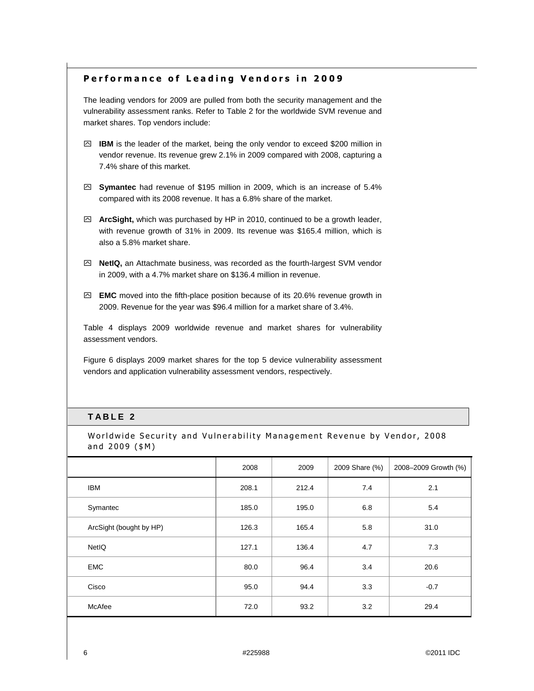### **Performance of Leading Vendors in 2009**

The leading vendors for 2009 are pulled from both the security management and the vulnerability assessment ranks. Refer to Table 2 for the worldwide SVM revenue and market shares. Top vendors include:

- ִ **IBM** is the leader of the market, being the only vendor to exceed \$200 million in vendor revenue. Its revenue grew 2.1% in 2009 compared with 2008, capturing a 7.4% share of this market.
- ִ **Symantec** had revenue of \$195 million in 2009, which is an increase of 5.4% compared with its 2008 revenue. It has a 6.8% share of the market.
- ִ **ArcSight,** which was purchased by HP in 2010, continued to be a growth leader, with revenue growth of 31% in 2009. Its revenue was \$165.4 million, which is also a 5.8% market share.
- ִ **NetIQ,** an Attachmate business, was recorded as the fourth-largest SVM vendor in 2009, with a 4.7% market share on \$136.4 million in revenue.
- ִ **EMC** moved into the fifth-place position because of its 20.6% revenue growth in 2009. Revenue for the year was \$96.4 million for a market share of 3.4%.

Table 4 displays 2009 worldwide revenue and market shares for vulnerability assessment vendors.

Figure 6 displays 2009 market shares for the top 5 device vulnerability assessment vendors and application vulnerability assessment vendors, respectively.

## **T A B L E 2**

Worldwide Security and Vulnerability Management Revenue by Vendor, 2008 and  $2009$  (\$M)

|                         | 2008  | 2009  | 2009 Share (%) | 2008-2009 Growth (%) |
|-------------------------|-------|-------|----------------|----------------------|
| <b>IBM</b>              | 208.1 | 212.4 | 7.4            | 2.1                  |
| Symantec                | 185.0 | 195.0 | 6.8            | 5.4                  |
| ArcSight (bought by HP) | 126.3 | 165.4 | 5.8            | 31.0                 |
| NetIQ                   | 127.1 | 136.4 | 4.7            | 7.3                  |
| <b>EMC</b>              | 80.0  | 96.4  | 3.4            | 20.6                 |
| Cisco                   | 95.0  | 94.4  | 3.3            | $-0.7$               |
| McAfee                  | 72.0  | 93.2  | 3.2            | 29.4                 |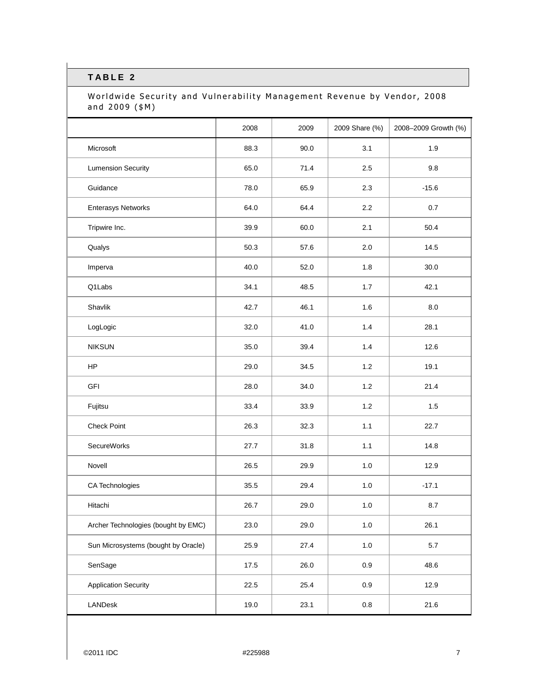### Worldwide Security and Vulnerability Management Revenue by Vendor, 2008 and  $2009$  (\$M)

|                                     | 2008 | 2009 | 2009 Share (%) | 2008-2009 Growth (%) |
|-------------------------------------|------|------|----------------|----------------------|
| Microsoft                           | 88.3 | 90.0 | 3.1            | 1.9                  |
| <b>Lumension Security</b>           | 65.0 | 71.4 | 2.5            | 9.8                  |
| Guidance                            | 78.0 | 65.9 | 2.3            | $-15.6$              |
| <b>Enterasys Networks</b>           | 64.0 | 64.4 | 2.2            | 0.7                  |
| Tripwire Inc.                       | 39.9 | 60.0 | 2.1            | 50.4                 |
| Qualys                              | 50.3 | 57.6 | 2.0            | 14.5                 |
| Imperva                             | 40.0 | 52.0 | 1.8            | 30.0                 |
| Q1Labs                              | 34.1 | 48.5 | 1.7            | 42.1                 |
| Shavlik                             | 42.7 | 46.1 | 1.6            | 8.0                  |
| LogLogic                            | 32.0 | 41.0 | 1.4            | 28.1                 |
| <b>NIKSUN</b>                       | 35.0 | 39.4 | 1.4            | 12.6                 |
| HP                                  | 29.0 | 34.5 | $1.2$          | 19.1                 |
| <b>GFI</b>                          | 28.0 | 34.0 | 1.2            | 21.4                 |
| Fujitsu                             | 33.4 | 33.9 | 1.2            | 1.5                  |
| <b>Check Point</b>                  | 26.3 | 32.3 | 1.1            | 22.7                 |
| SecureWorks                         | 27.7 | 31.8 | 1.1            | 14.8                 |
| Novell                              | 26.5 | 29.9 | $1.0\,$        | 12.9                 |
| CA Technologies                     | 35.5 | 29.4 | $1.0$          | $-17.1$              |
| Hitachi                             | 26.7 | 29.0 | $1.0$          | 8.7                  |
| Archer Technologies (bought by EMC) | 23.0 | 29.0 | $1.0\,$        | 26.1                 |
| Sun Microsystems (bought by Oracle) | 25.9 | 27.4 | $1.0\,$        | 5.7                  |
| SenSage                             | 17.5 | 26.0 | $0.9\,$        | 48.6                 |
| <b>Application Security</b>         | 22.5 | 25.4 | 0.9            | 12.9                 |
| LANDesk                             | 19.0 | 23.1 | $0.8\,$        | 21.6                 |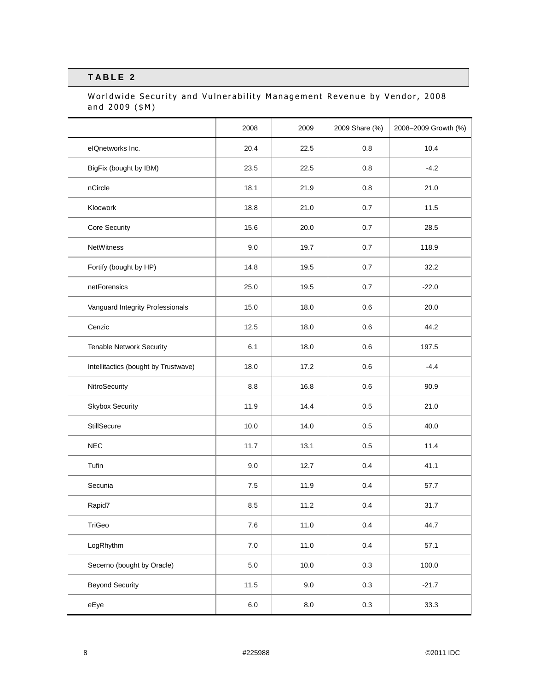### Worldwide Security and Vulnerability Management Revenue by Vendor, 2008 and  $2009$  (\$M)

|                                      | 2008    | 2009      | 2009 Share (%) | 2008-2009 Growth (%) |
|--------------------------------------|---------|-----------|----------------|----------------------|
| elQnetworks Inc.                     | 20.4    | 22.5      | 0.8            | 10.4                 |
| BigFix (bought by IBM)               | 23.5    | 22.5      | 0.8            | $-4.2$               |
| nCircle                              | 18.1    | 21.9      | 0.8            | 21.0                 |
| Klocwork                             | 18.8    | 21.0      | 0.7            | 11.5                 |
| Core Security                        | 15.6    | 20.0      | 0.7            | 28.5                 |
| NetWitness                           | 9.0     | 19.7      | 0.7            | 118.9                |
| Fortify (bought by HP)               | 14.8    | 19.5      | 0.7            | 32.2                 |
| netForensics                         | 25.0    | 19.5      | 0.7            | $-22.0$              |
| Vanguard Integrity Professionals     | 15.0    | 18.0      | 0.6            | 20.0                 |
| Cenzic                               | 12.5    | 18.0      | 0.6            | 44.2                 |
| <b>Tenable Network Security</b>      | 6.1     | 18.0      | 0.6            | 197.5                |
| Intellitactics (bought by Trustwave) | 18.0    | 17.2      | 0.6            | $-4.4$               |
| NitroSecurity                        | 8.8     | 16.8      | 0.6            | 90.9                 |
| <b>Skybox Security</b>               | 11.9    | 14.4      | 0.5            | 21.0                 |
| StillSecure                          | 10.0    | 14.0      | 0.5            | 40.0                 |
| <b>NEC</b>                           | 11.7    | 13.1      | 0.5            | 11.4                 |
| Tufin                                | 9.0     | 12.7      | 0.4            | 41.1                 |
| Secunia                              | 7.5     | 11.9      | 0.4            | 57.7                 |
| Rapid7                               | 8.5     | 11.2      | 0.4            | 31.7                 |
| TriGeo                               | $7.6$   | 11.0      | 0.4            | 44.7                 |
| LogRhythm                            | $7.0\,$ | 11.0      | 0.4            | 57.1                 |
| Secerno (bought by Oracle)           | $5.0\,$ | 10.0      | 0.3            | 100.0                |
| <b>Beyond Security</b>               | 11.5    | 9.0       | 0.3            | $-21.7$              |
| eEye                                 | $6.0\,$ | $\bf 8.0$ | 0.3            | 33.3                 |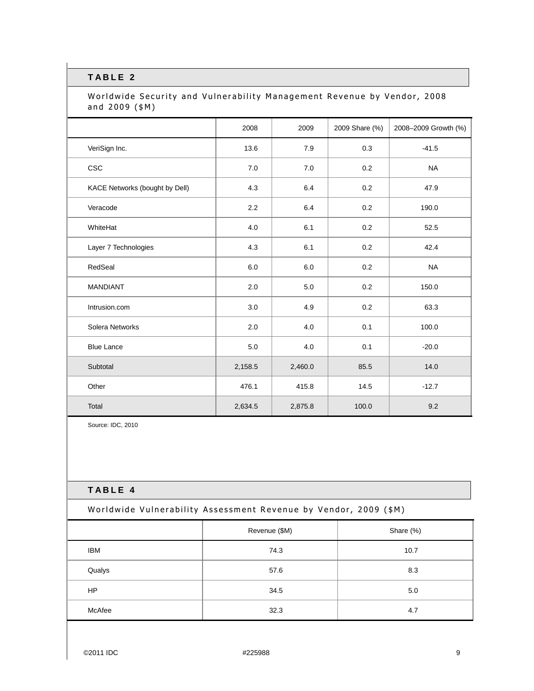#### Worldwide Security and Vulnerability Management Revenue by Vendor, 2008 and  $2009$  (\$M)

|                                | 2008    | 2009    | 2009 Share (%) | 2008-2009 Growth (%) |
|--------------------------------|---------|---------|----------------|----------------------|
| VeriSign Inc.                  | 13.6    | 7.9     | 0.3            | $-41.5$              |
| CSC                            | 7.0     | 7.0     | 0.2            | <b>NA</b>            |
| KACE Networks (bought by Dell) | 4.3     | 6.4     | 0.2            | 47.9                 |
| Veracode                       | 2.2     | 6.4     | 0.2            | 190.0                |
| WhiteHat                       | 4.0     | 6.1     | 0.2            | 52.5                 |
| Layer 7 Technologies           | 4.3     | 6.1     | 0.2            | 42.4                 |
| RedSeal                        | 6.0     | 6.0     | 0.2            | <b>NA</b>            |
| <b>MANDIANT</b>                | 2.0     | 5.0     | 0.2            | 150.0                |
| Intrusion.com                  | 3.0     | 4.9     | 0.2            | 63.3                 |
| Solera Networks                | 2.0     | 4.0     | 0.1            | 100.0                |
| <b>Blue Lance</b>              | 5.0     | 4.0     | 0.1            | $-20.0$              |
| Subtotal                       | 2,158.5 | 2,460.0 | 85.5           | 14.0                 |
| Other                          | 476.1   | 415.8   | 14.5           | $-12.7$              |
| Total                          | 2,634.5 | 2,875.8 | 100.0          | 9.2                  |

Source: IDC, 2010

#### **T A B L E 4**

Worldwide Vulnerability Assessment Revenue by Vendor, 2009 (\$M)

|            | Revenue (\$M) | Share (%) |
|------------|---------------|-----------|
| <b>IBM</b> | 74.3          | 10.7      |
| Qualys     | 57.6          | 8.3       |
| <b>HP</b>  | 34.5          | 5.0       |
| McAfee     | 32.3          | 4.7       |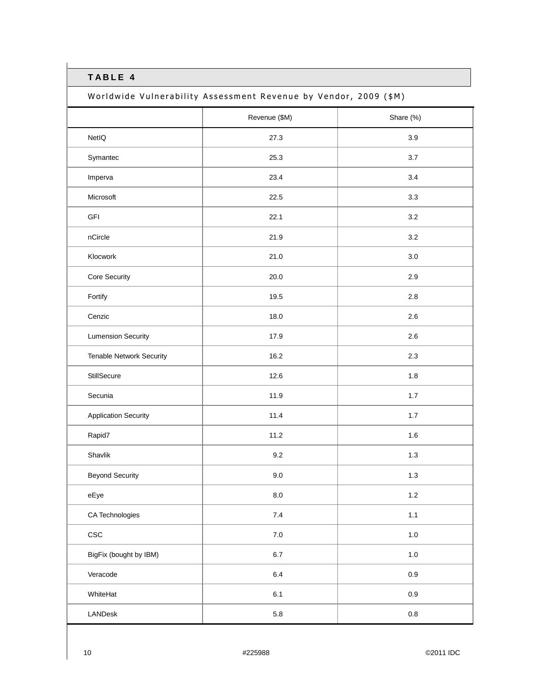Worldwide Vulnerability Assessment Revenue by Vendor, 2009 (\$M)

|                                 | Revenue (\$M) | Share (%) |
|---------------------------------|---------------|-----------|
| NetIQ                           | 27.3          | 3.9       |
| Symantec                        | 25.3          | 3.7       |
| Imperva                         | 23.4          | 3.4       |
| Microsoft                       | 22.5          | 3.3       |
| GFI                             | 22.1          | 3.2       |
| nCircle                         | 21.9          | 3.2       |
| Klocwork                        | 21.0          | 3.0       |
| Core Security                   | 20.0          | 2.9       |
| Fortify                         | 19.5          | 2.8       |
| Cenzic                          | 18.0          | 2.6       |
| <b>Lumension Security</b>       | 17.9          | 2.6       |
| <b>Tenable Network Security</b> | 16.2          | 2.3       |
| StillSecure                     | 12.6          | 1.8       |
| Secunia                         | 11.9          | $1.7$     |
| <b>Application Security</b>     | 11.4          | $1.7$     |
| Rapid7                          | 11.2          | 1.6       |
| Shavlik                         | 9.2           | $1.3$     |
| <b>Beyond Security</b>          | $9.0\,$       | $1.3$     |
| eEye                            | $8.0\,$       | $1.2\,$   |
| CA Technologies                 | $7.4\,$       | $1.1$     |
| ${\csc}$                        | $7.0\,$       | $1.0\,$   |
| BigFix (bought by IBM)          | $6.7\,$       | $1.0\,$   |
| Veracode                        | $6.4\,$       | $0.9\,$   |
| WhiteHat                        | $6.1\,$       | $0.9\,$   |
| LANDesk                         | $5.8\,$       | $0.8\,$   |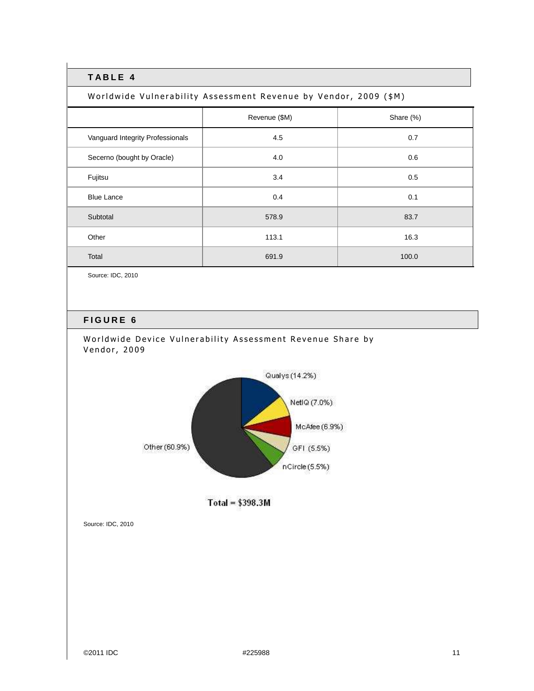Worldwide Vulnerability Assessment Revenue by Vendor, 2009 (\$M)

|                                  | Revenue (\$M) | Share (%) |
|----------------------------------|---------------|-----------|
| Vanguard Integrity Professionals | 4.5           | 0.7       |
| Secerno (bought by Oracle)       | 4.0           | 0.6       |
| Fujitsu                          | 3.4           | 0.5       |
| <b>Blue Lance</b>                | 0.4           | 0.1       |
| Subtotal                         | 578.9         | 83.7      |
| Other                            | 113.1         | 16.3      |
| Total                            | 691.9         | 100.0     |

Source: IDC, 2010

### **F I G U R E 6**





 $Total = $398.3M$ 

Source: IDC, 2010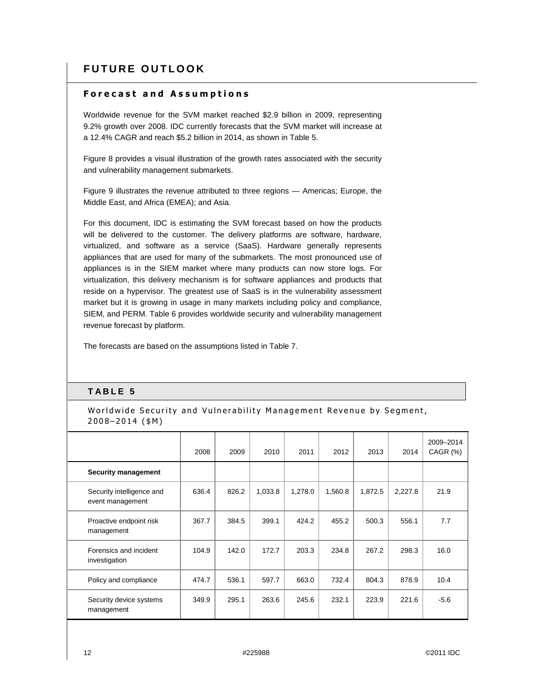# **FUTURE OUTLOOK**

#### **F o r e c a s t a n d A s s u m p t i o n s**

Worldwide revenue for the SVM market reached \$2.9 billion in 2009, representing 9.2% growth over 2008. IDC currently forecasts that the SVM market will increase at a 12.4% CAGR and reach \$5.2 billion in 2014, as shown in Table 5.

Figure 8 provides a visual illustration of the growth rates associated with the security and vulnerability management submarkets.

Figure 9 illustrates the revenue attributed to three regions — Americas; Europe, the Middle East, and Africa (EMEA); and Asia.

For this document, IDC is estimating the SVM forecast based on how the products will be delivered to the customer. The delivery platforms are software, hardware, virtualized, and software as a service (SaaS). Hardware generally represents appliances that are used for many of the submarkets. The most pronounced use of appliances is in the SIEM market where many products can now store logs. For virtualization, this delivery mechanism is for software appliances and products that reside on a hypervisor. The greatest use of SaaS is in the vulnerability assessment market but it is growing in usage in many markets including policy and compliance, SIEM, and PERM. Table 6 provides worldwide security and vulnerability management revenue forecast by platform.

The forecasts are based on the assumptions listed in Table 7.

### **T A B L E 5**

Worldwide Security and Vulnerability Management Revenue by Segment,  $2008 - 2014$  (\$M)

|                                               | 2008  | 2009  | 2010    | 2011    | 2012    | 2013    | 2014    | 2009-2014<br>CAGR (%) |
|-----------------------------------------------|-------|-------|---------|---------|---------|---------|---------|-----------------------|
| <b>Security management</b>                    |       |       |         |         |         |         |         |                       |
| Security intelligence and<br>event management | 636.4 | 826.2 | 1,033.8 | 1,278.0 | 1,560.8 | 1,872.5 | 2,227.8 | 21.9                  |
| Proactive endpoint risk<br>management         | 367.7 | 384.5 | 399.1   | 424.2   | 455.2   | 500.3   | 556.1   | 7.7                   |
| Forensics and incident<br>investigation       | 104.9 | 142.0 | 172.7   | 203.3   | 234.8   | 267.2   | 298.3   | 16.0                  |
| Policy and compliance                         | 474.7 | 536.1 | 597.7   | 663.0   | 732.4   | 804.3   | 878.9   | 10.4                  |
| Security device systems<br>management         | 349.9 | 295.1 | 263.6   | 245.6   | 232.1   | 223.9   | 221.6   | $-5.6$                |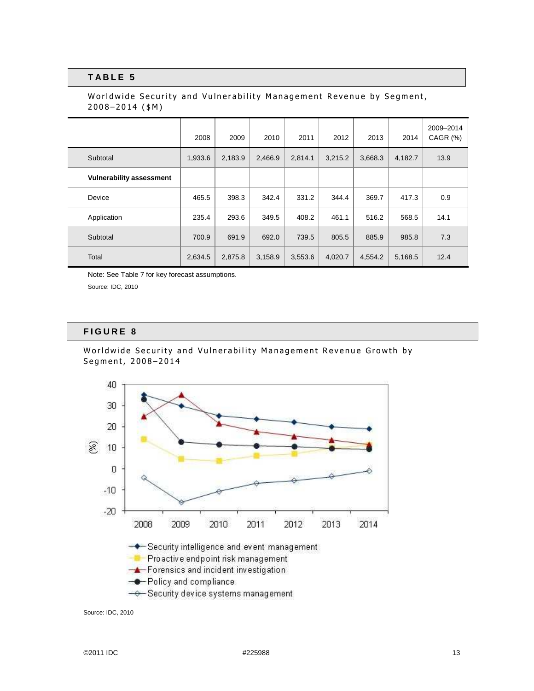#### Worldwide Security and Vulnerability Management Revenue by Segment,  $2008 - 2014$  (\$M)

|                                 | 2008    | 2009    | 2010    | 2011    | 2012    | 2013    | 2014    | 2009-2014<br>CAGR (%) |
|---------------------------------|---------|---------|---------|---------|---------|---------|---------|-----------------------|
| Subtotal                        | 1,933.6 | 2,183.9 | 2,466.9 | 2,814.1 | 3,215.2 | 3,668.3 | 4,182.7 | 13.9                  |
| <b>Vulnerability assessment</b> |         |         |         |         |         |         |         |                       |
| Device                          | 465.5   | 398.3   | 342.4   | 331.2   | 344.4   | 369.7   | 417.3   | 0.9                   |
| Application                     | 235.4   | 293.6   | 349.5   | 408.2   | 461.1   | 516.2   | 568.5   | 14.1                  |
| Subtotal                        | 700.9   | 691.9   | 692.0   | 739.5   | 805.5   | 885.9   | 985.8   | 7.3                   |
| Total                           | 2,634.5 | 2,875.8 | 3,158.9 | 3,553.6 | 4,020.7 | 4,554.2 | 5,168.5 | 12.4                  |

Note: See Table 7 for key forecast assumptions.

Source: IDC, 2010

#### **F I G U R E 8**

#### Worldwide Security and Vulnerability Management Revenue Growth by Segment, 2008-2014



Source: IDC, 2010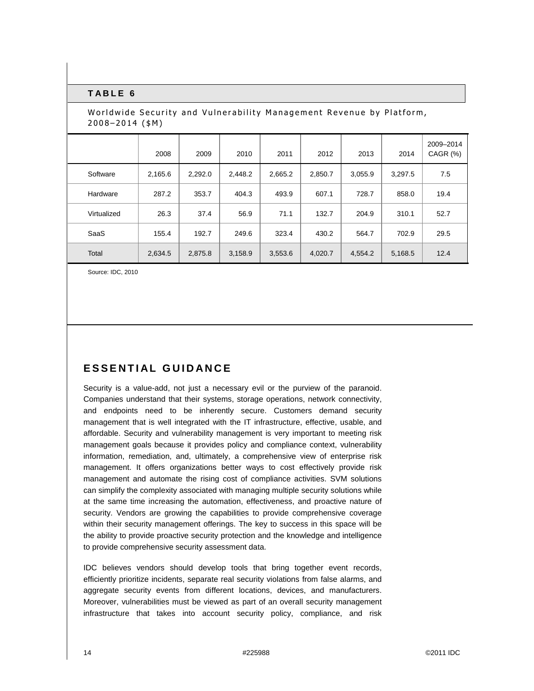| Worldwide Security and Vulnerability Management Revenue by Platform,<br>$2008 - 2014$ (\$M) |         |         |         |         |         |         |         |                       |
|---------------------------------------------------------------------------------------------|---------|---------|---------|---------|---------|---------|---------|-----------------------|
|                                                                                             | 2008    | 2009    | 2010    | 2011    | 2012    | 2013    | 2014    | 2009-2014<br>CAGR (%) |
| Software                                                                                    | 2,165.6 | 2,292.0 | 2,448.2 | 2,665.2 | 2,850.7 | 3,055.9 | 3,297.5 | 7.5                   |
| Hardware                                                                                    | 287.2   | 353.7   | 404.3   | 493.9   | 607.1   | 728.7   | 858.0   | 19.4                  |
| Virtualized                                                                                 | 26.3    | 37.4    | 56.9    | 71.1    | 132.7   | 204.9   | 310.1   | 52.7                  |
| SaaS                                                                                        | 155.4   | 192.7   | 249.6   | 323.4   | 430.2   | 564.7   | 702.9   | 29.5                  |
| Total                                                                                       | 2,634.5 | 2,875.8 | 3,158.9 | 3,553.6 | 4,020.7 | 4,554.2 | 5,168.5 | 12.4                  |

Source: IDC, 2010

## **ESSENTIAL GUIDANCE**

Security is a value-add, not just a necessary evil or the purview of the paranoid. Companies understand that their systems, storage operations, network connectivity, and endpoints need to be inherently secure. Customers demand security management that is well integrated with the IT infrastructure, effective, usable, and affordable. Security and vulnerability management is very important to meeting risk management goals because it provides policy and compliance context, vulnerability information, remediation, and, ultimately, a comprehensive view of enterprise risk management. It offers organizations better ways to cost effectively provide risk management and automate the rising cost of compliance activities. SVM solutions can simplify the complexity associated with managing multiple security solutions while at the same time increasing the automation, effectiveness, and proactive nature of security. Vendors are growing the capabilities to provide comprehensive coverage within their security management offerings. The key to success in this space will be the ability to provide proactive security protection and the knowledge and intelligence to provide comprehensive security assessment data.

IDC believes vendors should develop tools that bring together event records, efficiently prioritize incidents, separate real security violations from false alarms, and aggregate security events from different locations, devices, and manufacturers. Moreover, vulnerabilities must be viewed as part of an overall security management infrastructure that takes into account security policy, compliance, and risk